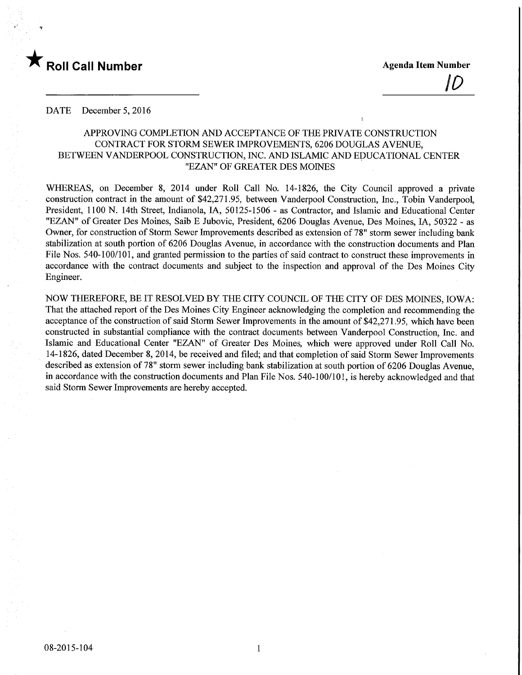

I

 $\vert U \vert$ 

#### DATE December 5, 2016

# APPROVING COMPLETION AND ACCEPTANCE OF THE PRIVATE CONSTRUCTION CONTRACT FOR STORM SEWER IMPROVEMENTS, 6206 DOUGLAS AVENUE, BETWEEN VANDERPOOL CONSTRUCTION, INC. AND ISLAMIC AND EDUCATIONAL CENTER "EZAN" OF GREATER DES MOINES

WHEREAS, on December 8, 2014 under Roll Call No. 14-1826, the City Council approved a private construction contract in the amount of \$42,271.95, between Vanderpool Construction, Inc., Tobin Vanderpool, President, 1100 N. 14th Street, Indianola, IA, 50125-1506 - as Contractor, and Islamic and Educational Center "EZAN" of Greater Des Moines, Saib E Jubovic, President, 6206 Douglas Avenue, Des Moines, IA, 50322 - as Owner, for construction of Storm Sewer Improvements described as extension of 78" storm sewer including bank stabilization at south portion of 6206 Douglas Avenue, in accordance with the construction documents and Plan File Nos. 540-100/101, and granted permission to the parties of said contract to construct these improvements in accordance with the contract documents and subject to the inspection and approval of the Des Moines City Engineer.

NOW THEREFORE, BE IT RESOLVED BY THE CITY COUNCIL OF THE CITY OF DES MOINES, IOWA: That the attached report of the Des Moines City Engineer acknowledging the completion and recommending the acceptance of the construction of said Storm Sewer Improvements in the amount of \$42,271 .95, which have been constructed in substantial compliance with the contract documents between Vanderpool Construction, Inc. and Islamic and Educational Center "EZAN" of Greater Des Moines, which were approved under Roll Call No. 14-1826, dated December 8, 2014, be received and filed; and that completion of said Storm Sewer Improvements described as extension of 78" storm sewer including bank stabilization at south portion of 6206 Douglas Avenue, in accordance with the construction documents and Plan File Nos. 540-100/101, is hereby acknowledged and that said Storm Sewer Improvements are hereby accepted.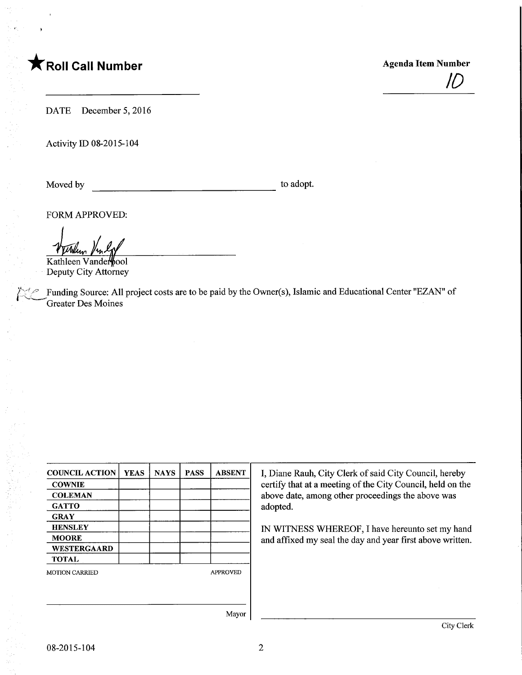

 $\mathcal H$ 

DATE December 5, 2016

Activity ID 08-2015-104

 $\sim$ f

Moved by to adopt.

FORM APPROVED:

Kathleen Vanderbool Deputy City Attorney

Funding Source: All project costs are to be paid by the Owner(s), Islamic and Educational Center "EZAN" of Greater Des Moines

| <b>COUNCIL ACTION</b> | <b>YEAS</b> | <b>NAYS</b> | <b>PASS</b> | <b>ABSENT</b>   |  |
|-----------------------|-------------|-------------|-------------|-----------------|--|
| <b>COWNIE</b>         |             |             |             |                 |  |
| <b>COLEMAN</b>        |             |             |             |                 |  |
| <b>GATTO</b>          |             |             |             |                 |  |
| <b>GRAY</b>           |             |             |             |                 |  |
| <b>HENSLEY</b>        |             |             |             |                 |  |
| <b>MOORE</b>          |             |             |             |                 |  |
| <b>WESTERGAARD</b>    |             |             |             |                 |  |
| <b>TOTAL</b>          |             |             |             |                 |  |
| <b>MOTION CARRIED</b> |             |             |             | <b>APPROVED</b> |  |
|                       |             |             |             |                 |  |
|                       |             |             |             |                 |  |
|                       |             |             |             |                 |  |

I, Diane Rauh, City Clerk of said City Council, hereby certify that at a meeting of the City Council, held on the above date, among other proceedings the above was adopted.

IN WITNESS WHEREOF, I have hereunto set my hand and affixed my seal the day and year first above written.

Mayor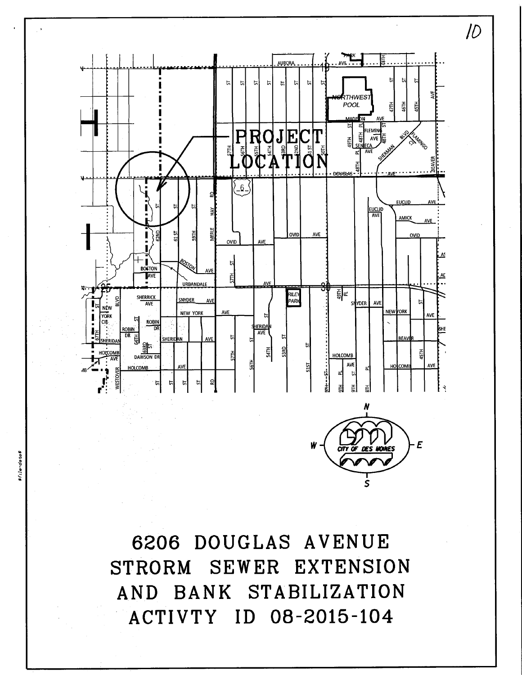

6206 DOUGLAS AVENUE STRORM SEWER EXTENSION AND BANK STABILIZATION ACTIVTY ID 08-2015-104

sr<sub>ile-date</sub>s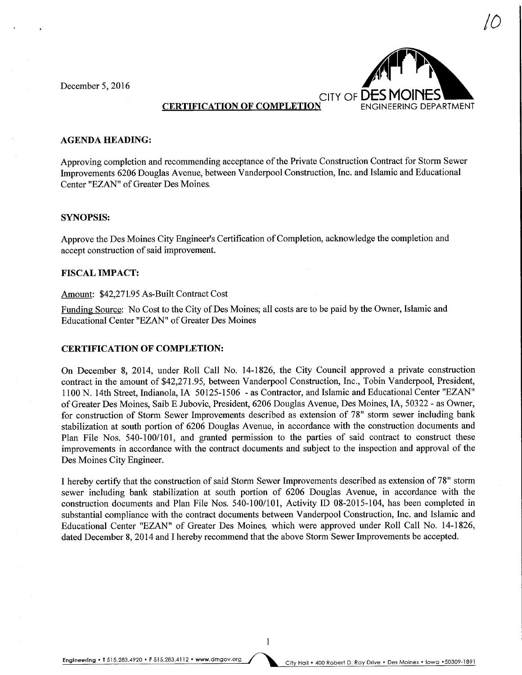December 5, 2016



 $\iota O$ 

**CERTIFICATION OF COMPLETION** 

#### AGENDA HEADING:

Approvmg completion and recommending acceptance of the Private Construction Contract for Storm Sewer Improvements 6206 Douglas Avenue, between Vanderpool Construction, Inc. and Islamic and Educational Center "EZAN" of Greater Des Moines.

#### SYNOPSIS:

Approve the Des Moines City Engineer's Certification of Completion, acknowledge the completion and accept construction of said improvement.

## FISCAL IMPACT:

## Amount: \$42,271.95 As-Built Contract Cost

Funding Source: No Cost to the City of Des Moines; all costs are to be paid by the Owner, Islamic and Educational Center "EZAN" of Greater Des Moines

### CERTIFICATION OF COMPLETION:

On December 8, 2014, under Roll Call No. 14-1826, the City Council approved a private construction contract in the amount of \$42,271.95, between Vanderpool Construction, Inc., Tobin Vanderpool, President, 1100 N. 14th Street, Indianola, IA 50125-1506 - as Contractor, and Islamic and Educational Center "EZAN" of Greater Des Moines, Saib E Jubovic, President, 6206 Douglas Avenue, Des Moines, IA, 50322 - as Owner, for construction of Storm Sewer Improvements described as extension of 78" storm sewer including bank stabilization at south portion of 6206 Douglas Avenue, in accordance with the construction documents and Plan File Nos. 540-100/101, and granted permission to the parties of said contract to construct these improvements in accordance with the contract documents and subject to the inspection and approval of the Des Moines City Engineer.

I hereby certify that the construction of said Storm Sewer Improvements described as extension of 78" storm sewer including bank stabilization at south portion of 6206 Douglas Avenue, in accordance with the construction documents and Plan File Nos. 540-100/101, Activity ID 08-2015-104, has been completed in substantial compliance with the contract documents between Vanderpool Construction, Inc. and Islamic and Educational Center "EZAN" of Greater Des Moines, which were approved under Roll Call No. 14-1826, dated December 8, 2014 and I hereby recommend that the above Storm Sewer Improvements be accepted.

Engineering . T 515.283.4920 . F 515.283.4112 . www.dmgov.org City Hall . 400 Robert D. Ray Drive . Des Moines . Iowa . 50309-1891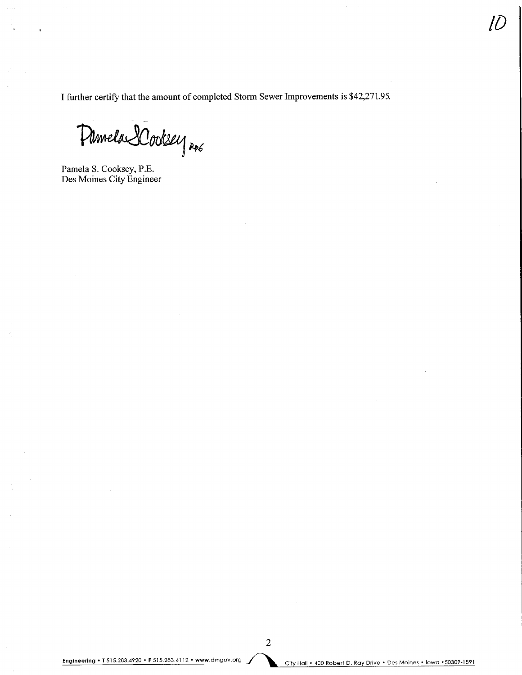I further certify that the amount of completed Storm Sewer Improvements is \$42,271.95.

Pamela SCookey Roo

Pamela S. Cooksey, P.E. Des Moines City Engineer

 $U$